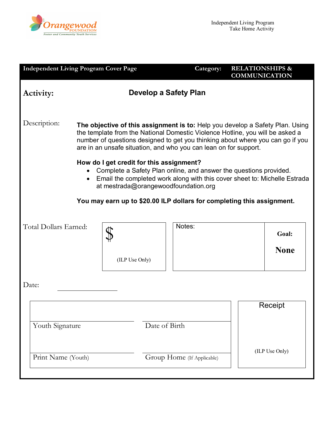

| <b>Independent Living Program Cover Page</b>                                                                                                                                                                                                                                                                   |                                                                                                                                                                                                                                                                                                                      |                            | Category: | <b>RELATIONSHIPS &amp;</b><br><b>COMMUNICATION</b> |                      |  |
|----------------------------------------------------------------------------------------------------------------------------------------------------------------------------------------------------------------------------------------------------------------------------------------------------------------|----------------------------------------------------------------------------------------------------------------------------------------------------------------------------------------------------------------------------------------------------------------------------------------------------------------------|----------------------------|-----------|----------------------------------------------------|----------------------|--|
| Activity:                                                                                                                                                                                                                                                                                                      | Develop a Safety Plan                                                                                                                                                                                                                                                                                                |                            |           |                                                    |                      |  |
| Description:                                                                                                                                                                                                                                                                                                   | The objective of this assignment is to: Help you develop a Safety Plan. Using<br>the template from the National Domestic Violence Hotline, you will be asked a<br>number of questions designed to get you thinking about where you can go if you<br>are in an unsafe situation, and who you can lean on for support. |                            |           |                                                    |                      |  |
| How do I get credit for this assignment?<br>Complete a Safety Plan online, and answer the questions provided.<br>• Email the completed work along with this cover sheet to: Michelle Estrada<br>at mestrada@orangewoodfoundation.org<br>You may earn up to \$20.00 ILP dollars for completing this assignment. |                                                                                                                                                                                                                                                                                                                      |                            |           |                                                    |                      |  |
| Total Dollars Earned:                                                                                                                                                                                                                                                                                          | (ILP Use Only)                                                                                                                                                                                                                                                                                                       | Notes:                     |           |                                                    | Goal:<br><b>None</b> |  |
| Date:                                                                                                                                                                                                                                                                                                          |                                                                                                                                                                                                                                                                                                                      |                            |           |                                                    |                      |  |
| Date of Birth<br>Youth Signature                                                                                                                                                                                                                                                                               |                                                                                                                                                                                                                                                                                                                      |                            |           |                                                    | Receipt              |  |
| Print Name (Youth)                                                                                                                                                                                                                                                                                             |                                                                                                                                                                                                                                                                                                                      | Group Home (If Applicable) |           |                                                    | (ILP Use Only)       |  |